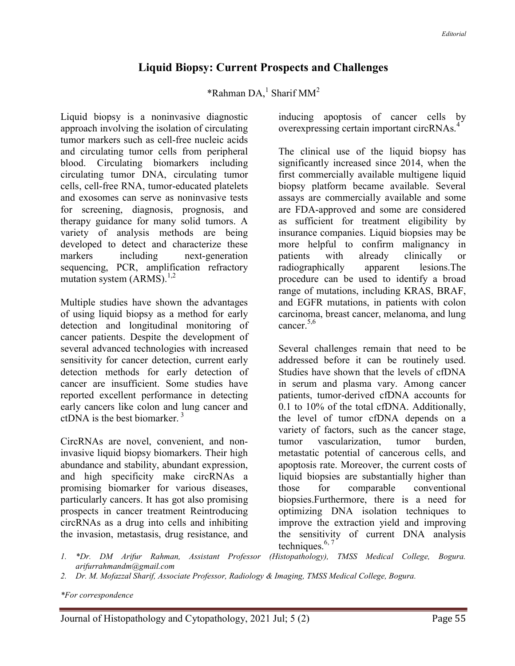## Liquid Biopsy: Current Prospects and Challenges

\*Rahman  $DA$ ,<sup>1</sup> Sharif MM<sup>2</sup>

Liquid biopsy is a noninvasive diagnostic approach involving the isolation of circulating tumor markers such as cell-free nucleic acids and circulating tumor cells from peripheral blood. Circulating biomarkers including circulating tumor DNA, circulating tumor cells, cell-free RNA, tumor-educated platelets and exosomes can serve as noninvasive tests for screening, diagnosis, prognosis, and therapy guidance for many solid tumors. A variety of analysis methods are being developed to detect and characterize these markers including next-generation sequencing, PCR, amplification refractory mutation system  $(ARMS).^{1,2}$ 

Multiple studies have shown the advantages of using liquid biopsy as a method for early detection and longitudinal monitoring of cancer patients. Despite the development of several advanced technologies with increased sensitivity for cancer detection, current early detection methods for early detection of cancer are insufficient. Some studies have reported excellent performance in detecting early cancers like colon and lung cancer and ctDNA is the best biomarker.<sup>3</sup>

CircRNAs are novel, convenient, and noninvasive liquid biopsy biomarkers. Their high abundance and stability, abundant expression, and high specificity make circRNAs a promising biomarker for various diseases, particularly cancers. It has got also promising prospects in cancer treatment Reintroducing circRNAs as a drug into cells and inhibiting the invasion, metastasis, drug resistance, and

inducing apoptosis of cancer cells by overexpressing certain important circRNAs.<sup>4</sup>

The clinical use of the liquid biopsy has significantly increased since 2014, when the first commercially available multigene liquid biopsy platform became available. Several assays are commercially available and some are FDA-approved and some are considered as sufficient for treatment eligibility by insurance companies. Liquid biopsies may be more helpful to confirm malignancy in patients with already clinically or radiographically apparent lesions.The procedure can be used to identify a broad range of mutations, including KRAS, BRAF, and EGFR mutations, in patients with colon carcinoma, breast cancer, melanoma, and lung cancer.5,6

Several challenges remain that need to be addressed before it can be routinely used. Studies have shown that the levels of cfDNA in serum and plasma vary. Among cancer patients, tumor-derived cfDNA accounts for 0.1 to 10% of the total cfDNA. Additionally, the level of tumor cfDNA depends on a variety of factors, such as the cancer stage, tumor vascularization, tumor burden, metastatic potential of cancerous cells, and apoptosis rate. Moreover, the current costs of liquid biopsies are substantially higher than those for comparable conventional biopsies.Furthermore, there is a need for optimizing DNA isolation techniques to improve the extraction yield and improving the sensitivity of current DNA analysis techniques. $6, 7$ 

- 1. \*Dr. DM Arifur Rahman, Assistant Professor (Histopathology), TMSS Medical College, Bogura. arifurrahmandm@gmail.com
- 2. Dr. M. Mofazzal Sharif, Associate Professor, Radiology & Imaging, TMSS Medical College, Bogura.

\*For correspondence